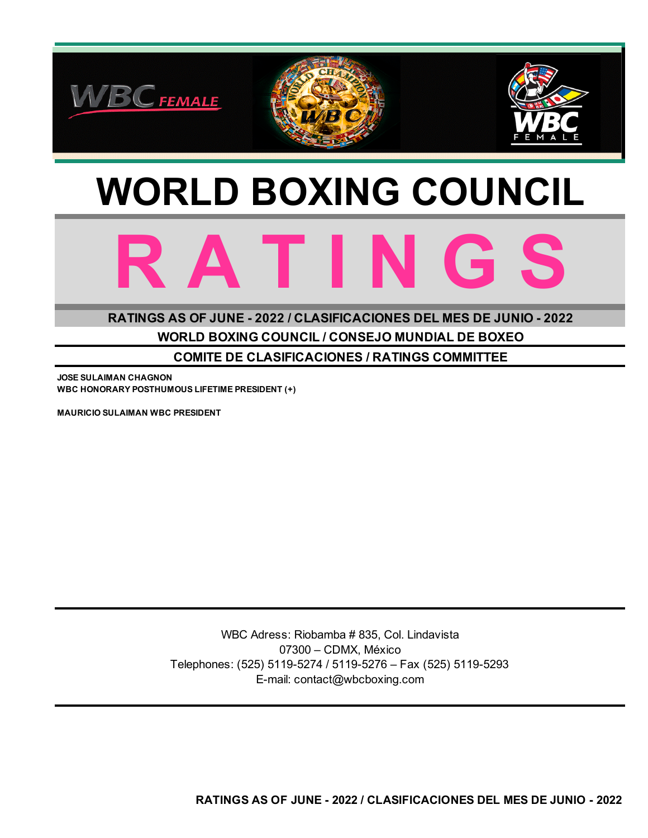

# **WORLD BOXING COUNCIL**



**WORLD BOXING COUNCIL / CONSEJO MUNDIAL DE BOXEO RATINGS AS OF JUNE - 2022 / CLASIFICACIONES DEL MES DE JUNIO - 2022**

**COMITE DE CLASIFICACIONES / RATINGS COMMITTEE**

**JOSE SULAIMAN CHAGNON WBC HONORARY POSTHUMOUS LIFETIME PRESIDENT (+)**

**MAURICIO SULAIMAN WBC PRESIDENT**

WBC Adress: Riobamba # 835, Col. Lindavista 07300 – CDMX, México Telephones: (525) 5119-5274 / 5119-5276 – Fax (525) 5119-5293 E-mail: contact@wbcboxing.com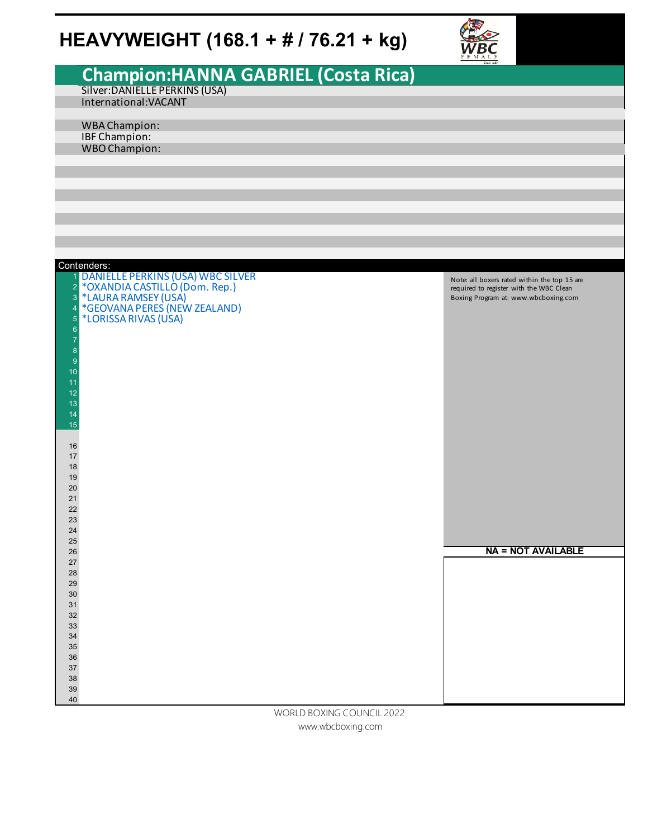# **HEAVYWEIGHT (168.1 + # / 76.21 + kg)**



|                  |                                                      | $F$ $K$ $M$ $A$ $L$ $R$<br>Since 1961        |
|------------------|------------------------------------------------------|----------------------------------------------|
|                  |                                                      |                                              |
|                  | Champion: HANNA GABRIEL (Costa Rica)                 |                                              |
|                  | Silver: DANIELLE PERKINS (USA)                       |                                              |
|                  |                                                      |                                              |
|                  | International: VACANT                                |                                              |
|                  |                                                      |                                              |
|                  | WBA Champion:                                        |                                              |
|                  |                                                      |                                              |
|                  | <b>IBF Champion:</b>                                 |                                              |
|                  | <b>WBO Champion:</b>                                 |                                              |
|                  |                                                      |                                              |
|                  |                                                      |                                              |
|                  |                                                      |                                              |
|                  |                                                      |                                              |
|                  |                                                      |                                              |
|                  |                                                      |                                              |
|                  |                                                      |                                              |
|                  |                                                      |                                              |
|                  |                                                      |                                              |
|                  |                                                      |                                              |
|                  |                                                      |                                              |
|                  |                                                      |                                              |
|                  | Contenders:                                          |                                              |
|                  | 1 DANIELLE PERKINS (USA) WBC SILVER                  | Note: all boxers rated within the top 15 are |
| $\overline{2}$   | *OXANDIA CASTILLO (Dom. Rep.)<br>*LAURA RAMSEY (USA) | required to register with the WBC Clean      |
| 3                |                                                      | Boxing Program at: www.wbcboxing.com         |
| $\overline{4}$   | *GEOVANA PERES (NEW ZEALAND)                         |                                              |
|                  |                                                      |                                              |
| $\overline{5}$   | *LORISSA RIVAS (USA)                                 |                                              |
| $\boldsymbol{6}$ |                                                      |                                              |
| $\overline{7}$   |                                                      |                                              |
| $\boldsymbol{8}$ |                                                      |                                              |
| $\overline{9}$   |                                                      |                                              |
| 10               |                                                      |                                              |
|                  |                                                      |                                              |
| 11               |                                                      |                                              |
| 12               |                                                      |                                              |
| 13               |                                                      |                                              |
| 14               |                                                      |                                              |
| 15               |                                                      |                                              |
|                  |                                                      |                                              |
|                  |                                                      |                                              |
| 16               |                                                      |                                              |
| 17               |                                                      |                                              |
| 18               |                                                      |                                              |
| 19               |                                                      |                                              |
| 20               |                                                      |                                              |
|                  |                                                      |                                              |
| 21               |                                                      |                                              |
| 22               |                                                      |                                              |
| 23               |                                                      |                                              |
| $24\,$           |                                                      |                                              |
| 25               |                                                      |                                              |
| $26\,$           |                                                      | <b>NA = NOT AVAILABLE</b>                    |
| $27\,$           |                                                      |                                              |
|                  |                                                      |                                              |
| 28               |                                                      |                                              |
| 29               |                                                      |                                              |
| 30               |                                                      |                                              |
| 31               |                                                      |                                              |
| $32\,$           |                                                      |                                              |
|                  |                                                      |                                              |
| $33\,$           |                                                      |                                              |
| 34               |                                                      |                                              |
| $35\,$           |                                                      |                                              |
| $36\,$           |                                                      |                                              |
| 37               |                                                      |                                              |
| $38\,$           |                                                      |                                              |
|                  |                                                      |                                              |
| $39\,$           |                                                      |                                              |
| 40               |                                                      |                                              |
|                  | <b>DOVINIC COUNTCH</b>                               |                                              |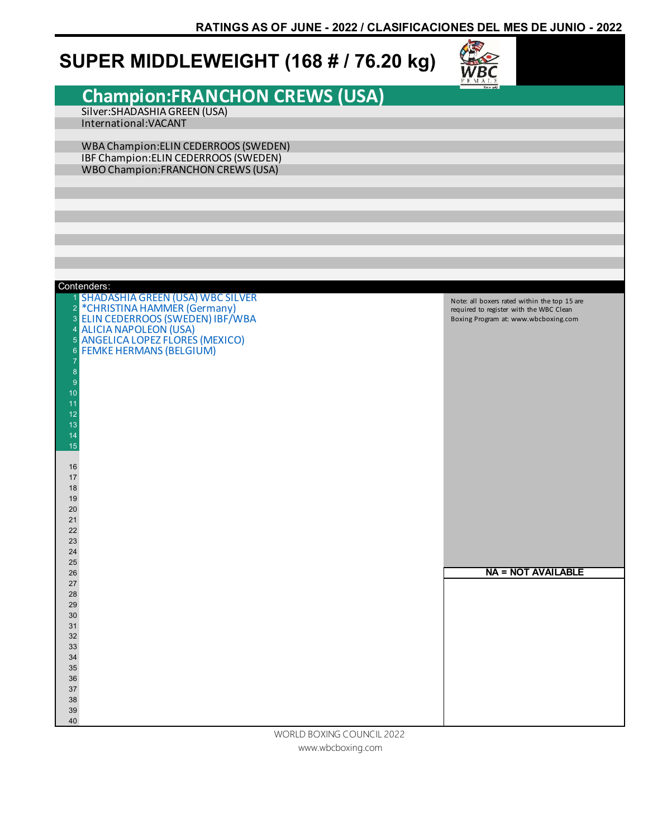### **SUPER MIDDLEWEIGHT (168 # / 76.20 kg)**



### **Champion:FRANCHON CREWS (USA)** Silver:SHADASHIA GREEN (USA)

International:VACANT

WBA Champion:ELIN CEDERROOS (SWEDEN) IBF Champion:ELIN CEDERROOS (SWEDEN) WBO Champion:FRANCHON CREWS (USA)

| Contenders:<br>1 SHADASHIA GREEN (USA) WBC SILVER<br>Note: all boxers rated within the top 15 are<br><sup>2</sup> *CHRISTINA HAMMER (Germany)<br>3 ELIN CEDERROOS (SWEDEN) IBF/WBA<br>required to register with the WBC Clean<br>Boxing Program at: www.wbcboxing.com<br>4 ALICIA NAPOLEON (USA)<br>5 ANGELICA LOPEZ FLORES (MEXICO)<br>6 FEMKE HERMANS (BELGIUM)<br>7<br>$\bf 8$<br>$\overline{9}$<br>10<br>11<br>12<br>13<br>14<br>15<br>16<br>17<br>18<br>19<br>20<br>21<br>22<br>23<br>24<br>25<br><b>NA = NOT AVAILABLE</b><br>26<br>27<br>28<br>29 |
|----------------------------------------------------------------------------------------------------------------------------------------------------------------------------------------------------------------------------------------------------------------------------------------------------------------------------------------------------------------------------------------------------------------------------------------------------------------------------------------------------------------------------------------------------------|
|                                                                                                                                                                                                                                                                                                                                                                                                                                                                                                                                                          |
|                                                                                                                                                                                                                                                                                                                                                                                                                                                                                                                                                          |
|                                                                                                                                                                                                                                                                                                                                                                                                                                                                                                                                                          |
|                                                                                                                                                                                                                                                                                                                                                                                                                                                                                                                                                          |
|                                                                                                                                                                                                                                                                                                                                                                                                                                                                                                                                                          |
|                                                                                                                                                                                                                                                                                                                                                                                                                                                                                                                                                          |
|                                                                                                                                                                                                                                                                                                                                                                                                                                                                                                                                                          |
|                                                                                                                                                                                                                                                                                                                                                                                                                                                                                                                                                          |
|                                                                                                                                                                                                                                                                                                                                                                                                                                                                                                                                                          |
|                                                                                                                                                                                                                                                                                                                                                                                                                                                                                                                                                          |
|                                                                                                                                                                                                                                                                                                                                                                                                                                                                                                                                                          |
|                                                                                                                                                                                                                                                                                                                                                                                                                                                                                                                                                          |
|                                                                                                                                                                                                                                                                                                                                                                                                                                                                                                                                                          |
| 30                                                                                                                                                                                                                                                                                                                                                                                                                                                                                                                                                       |
| 31                                                                                                                                                                                                                                                                                                                                                                                                                                                                                                                                                       |
| 32                                                                                                                                                                                                                                                                                                                                                                                                                                                                                                                                                       |
| 33<br>34                                                                                                                                                                                                                                                                                                                                                                                                                                                                                                                                                 |
| 35                                                                                                                                                                                                                                                                                                                                                                                                                                                                                                                                                       |
| 36                                                                                                                                                                                                                                                                                                                                                                                                                                                                                                                                                       |
| 37                                                                                                                                                                                                                                                                                                                                                                                                                                                                                                                                                       |
| 38                                                                                                                                                                                                                                                                                                                                                                                                                                                                                                                                                       |
| 39                                                                                                                                                                                                                                                                                                                                                                                                                                                                                                                                                       |
| 40<br>WORLD BOXING COUNCIL 2022                                                                                                                                                                                                                                                                                                                                                                                                                                                                                                                          |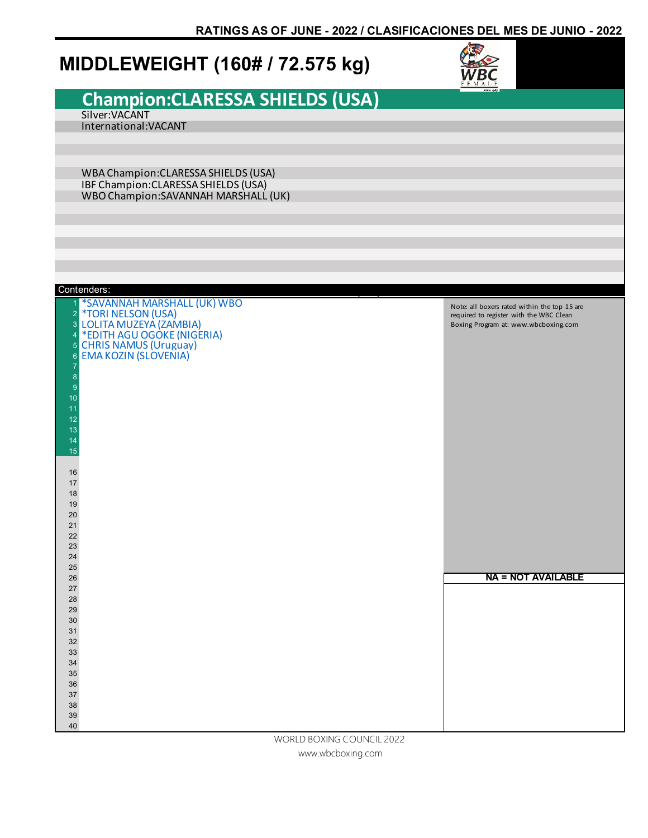### **MIDDLEWEIGHT (160# / 72.575 kg)**



# **Champion:CLARESSA SHIELDS (USA)**

Silver:VACANT International:VACANT

WBA Champion:CLARESSA SHIELDS (USA) IBF Champion:CLARESSA SHIELDS (USA) WBO Champion:SAVANNAH MARSHALL (UK)

| Contenders:                                                                                                                                                                                                                                                                                           |                                                                                                                                 |
|-------------------------------------------------------------------------------------------------------------------------------------------------------------------------------------------------------------------------------------------------------------------------------------------------------|---------------------------------------------------------------------------------------------------------------------------------|
| *SAVANNAH MARSHALL (UK) WBO<br>*TORI NELSON (USA)<br>2 <sup>2</sup><br>3<br>10LITA MUZEYA (ZAMBIA)<br>1 *EDITH AGU OGOKE (NIGERIA)<br>5 CHRIS NAMUS (Uruguay)<br>6 EMA KOZIN (SLOVENIA)<br>8<br>9<br>10<br>11<br>12<br>13<br>14<br>15<br>16<br>$17$<br>18<br>$19$<br>$20\,$<br>$21$<br>22<br>23<br>24 | Note: all boxers rated within the top 15 are<br>required to register with the WBC Clean<br>Boxing Program at: www.wbcboxing.com |
| $25\,$<br>26                                                                                                                                                                                                                                                                                          | <b>NA = NOT AVAILABLE</b>                                                                                                       |
| 27                                                                                                                                                                                                                                                                                                    |                                                                                                                                 |
| 28                                                                                                                                                                                                                                                                                                    |                                                                                                                                 |
| 29                                                                                                                                                                                                                                                                                                    |                                                                                                                                 |
| $30\,$<br>31                                                                                                                                                                                                                                                                                          |                                                                                                                                 |
| 32                                                                                                                                                                                                                                                                                                    |                                                                                                                                 |
| 33                                                                                                                                                                                                                                                                                                    |                                                                                                                                 |
| 34<br>35                                                                                                                                                                                                                                                                                              |                                                                                                                                 |
| 36                                                                                                                                                                                                                                                                                                    |                                                                                                                                 |
| $37\,$                                                                                                                                                                                                                                                                                                |                                                                                                                                 |
| 38                                                                                                                                                                                                                                                                                                    |                                                                                                                                 |
| 39                                                                                                                                                                                                                                                                                                    |                                                                                                                                 |
| 40                                                                                                                                                                                                                                                                                                    |                                                                                                                                 |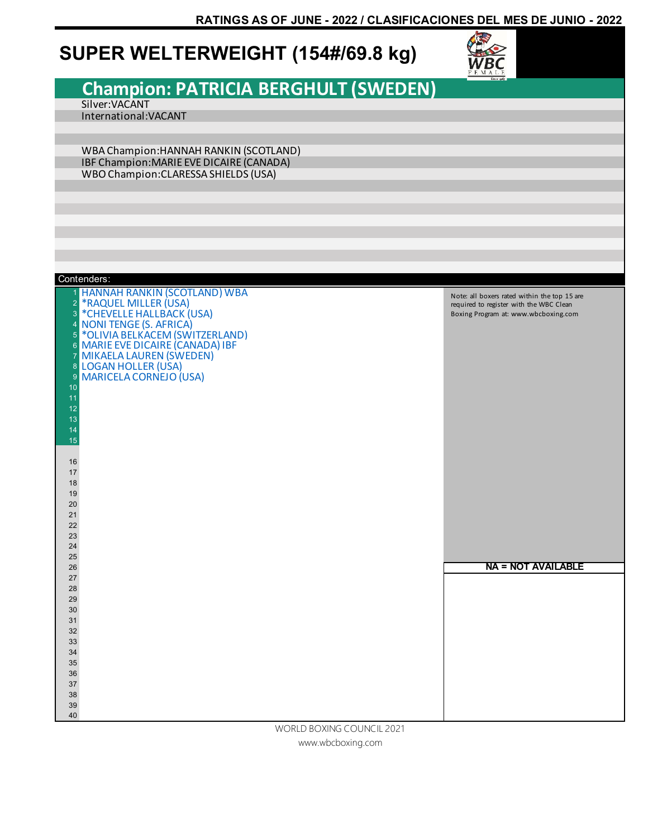### **SUPER WELTERWEIGHT (154#/69.8 kg)**



# **Champion: PATRICIA BERGHULT (SWEDEN)**

Silver:VACANT International:VACANT

WBA Champion:HANNAH RANKIN (SCOTLAND) IBF Champion:MARIE EVE DICAIRE (CANADA) WBO Champion:CLARESSA SHIELDS (USA)

|                | Contenders:                         |                                              |
|----------------|-------------------------------------|----------------------------------------------|
| 1.             | <b>HANNAH RANKIN (SCOTLAND) WBA</b> | Note: all boxers rated within the top 15 are |
| $\overline{2}$ | *RAQUEL MILLER (USA)                | required to register with the WBC Clean      |
| 3              | *CHEVELLE HALLBACK (USA)            | Boxing Program at: www.wbcboxing.com         |
| 4 <sup>1</sup> | <b>NONI TENGE (S. AFRICA)</b>       |                                              |
| 5 <sup>1</sup> | *OLIVIA BELKACEM (SWITZERLAND)      |                                              |
|                | 6 MARIE EVE DICAIRE (CANADA) IBF    |                                              |
|                | 7 MIKAELA LAUREN (SWEDEN)           |                                              |
|                | 8 LOGAN HOLLER (USA)                |                                              |
| 9              | <b>MARICELA CORNEJO (USA)</b>       |                                              |
| 10             |                                     |                                              |
| 11<br>12       |                                     |                                              |
| 13             |                                     |                                              |
| 14             |                                     |                                              |
| 15             |                                     |                                              |
|                |                                     |                                              |
| 16             |                                     |                                              |
| 17             |                                     |                                              |
| 18             |                                     |                                              |
| 19             |                                     |                                              |
| 20             |                                     |                                              |
| 21             |                                     |                                              |
| 22             |                                     |                                              |
| 23             |                                     |                                              |
| 24             |                                     |                                              |
| 25             |                                     |                                              |
| 26             |                                     | <b>NA = NOT AVAILABLE</b>                    |
| 27<br>28       |                                     |                                              |
| 29             |                                     |                                              |
| 30             |                                     |                                              |
| 31             |                                     |                                              |
| 32             |                                     |                                              |
| 33             |                                     |                                              |
| 34             |                                     |                                              |
| 35             |                                     |                                              |
| 36             |                                     |                                              |
| 37             |                                     |                                              |
| 38             |                                     |                                              |
| 39             |                                     |                                              |
| 40             |                                     |                                              |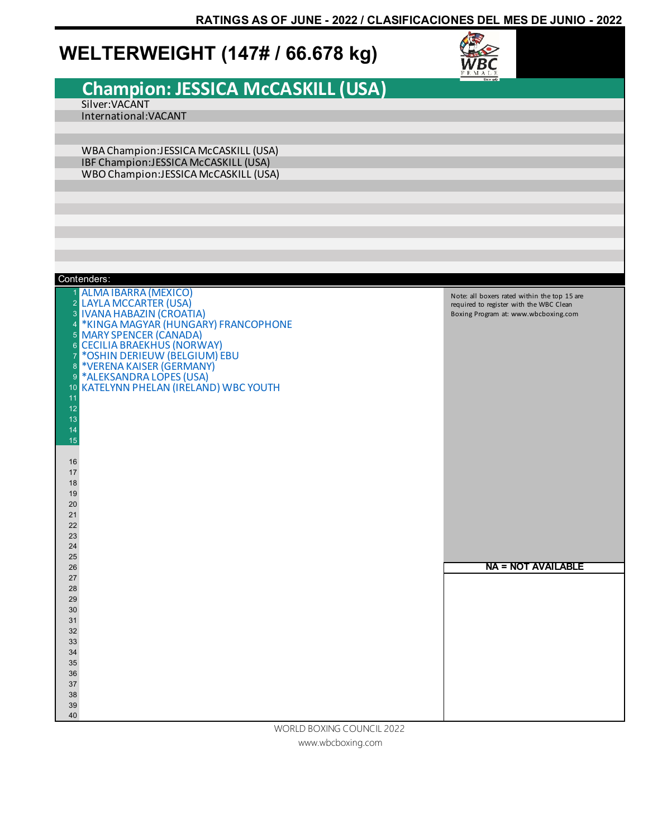### **WELTERWEIGHT (147# / 66.678 kg)**



# **Champion: JESSICA McCASKILL (USA)**

Silver:VACANT International:VACANT

WBA Champion:JESSICA McCASKILL (USA) IBF Champion:JESSICA McCASKILL (USA) WBO Champion:JESSICA McCASKILL (USA)

| Contenders:                                                                                                                                                                                                                                                                                                                                                                                                                                                                      |                                                                                                                                 |
|----------------------------------------------------------------------------------------------------------------------------------------------------------------------------------------------------------------------------------------------------------------------------------------------------------------------------------------------------------------------------------------------------------------------------------------------------------------------------------|---------------------------------------------------------------------------------------------------------------------------------|
| <b>ALMA IBARRA (MEXICO)</b><br>1<br>2 LAYLA MCCARTER (USA)<br>3 IVANA HABAZIN (CROATIA)<br>4 *KINGA MAGYAR (HUNGARY) FRANCOPHONE<br>5 MARY SPENCER (CANADA)<br><b>CECILIA BRAEKHUS (NORWAY)</b><br>$\boldsymbol{6}$<br>*OSHIN DERIEUW (BELGIUM) EBU<br>$\overline{7}$<br>*VERENA KAISER (GERMANY)<br>$\bf 8$<br>*ALEKSANDRA LOPES (USA)<br>9<br>10 KATELYNN PHELAN (IRELAND) WBC YOUTH<br>11<br>12<br>13<br>14<br>15<br>16<br>17<br>18<br>19<br>20<br>21<br>22<br>23<br>24<br>25 | Note: all boxers rated within the top 15 are<br>required to register with the WBC Clean<br>Boxing Program at: www.wbcboxing.com |
| 26                                                                                                                                                                                                                                                                                                                                                                                                                                                                               | <b>NA = NOT AVAILABLE</b>                                                                                                       |
| 27                                                                                                                                                                                                                                                                                                                                                                                                                                                                               |                                                                                                                                 |
| 28                                                                                                                                                                                                                                                                                                                                                                                                                                                                               |                                                                                                                                 |
| 29                                                                                                                                                                                                                                                                                                                                                                                                                                                                               |                                                                                                                                 |
| 30<br>31                                                                                                                                                                                                                                                                                                                                                                                                                                                                         |                                                                                                                                 |
| 32                                                                                                                                                                                                                                                                                                                                                                                                                                                                               |                                                                                                                                 |
| 33                                                                                                                                                                                                                                                                                                                                                                                                                                                                               |                                                                                                                                 |
| 34                                                                                                                                                                                                                                                                                                                                                                                                                                                                               |                                                                                                                                 |
| 35                                                                                                                                                                                                                                                                                                                                                                                                                                                                               |                                                                                                                                 |
| 36                                                                                                                                                                                                                                                                                                                                                                                                                                                                               |                                                                                                                                 |
| 37                                                                                                                                                                                                                                                                                                                                                                                                                                                                               |                                                                                                                                 |
| 38                                                                                                                                                                                                                                                                                                                                                                                                                                                                               |                                                                                                                                 |
| 39<br>40                                                                                                                                                                                                                                                                                                                                                                                                                                                                         |                                                                                                                                 |
| MODI D ROVING COLINGIL 2022                                                                                                                                                                                                                                                                                                                                                                                                                                                      |                                                                                                                                 |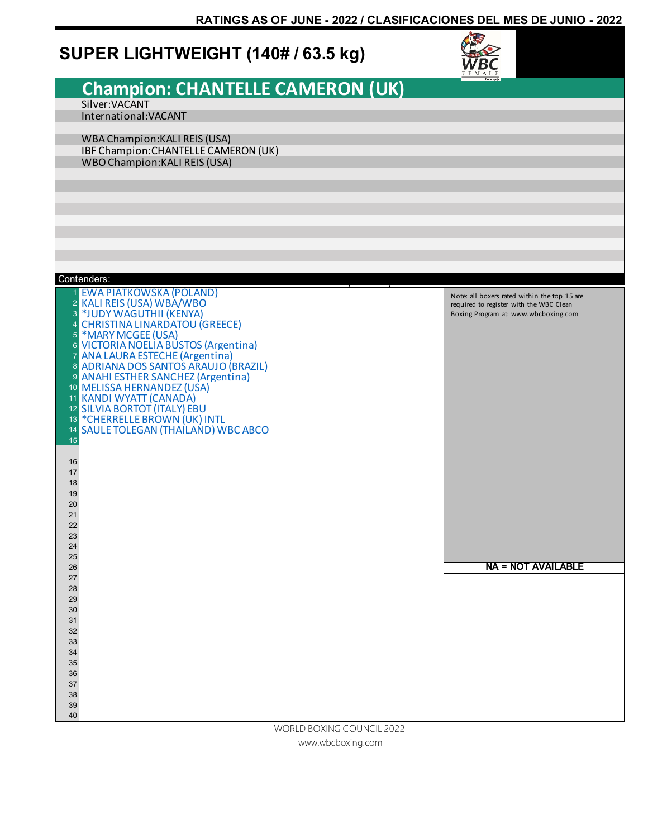### **SUPER LIGHTWEIGHT (140# / 63.5 kg)**



#### **Champion: CHANTELLE CAMERON (UK)** Silver:VACANT International:VACANT WBA Champion:KALI REIS (USA) IBF Champion:CHANTELLE CAMERON (UK) WBO Champion:KALI REIS (USA) **EWA PIATKOWSKA (POLAND)** 2 KALI REIS (USA) WBA/WBO<br>3 \*IUDY WAGUTHII (KENYA) \*JUDY WAGUTHII (KENYA) 4 CHRISTINA LINARDATOU (GREECE)<br>5 \*MARY MCGEE (USA) \*MARY MCGEE (USA) VICTORIA NOELIA BUSTOS (Argentina) ANA LAURA ESTECHE (Argentina) ADRIANA DOS SANTOS ARAUJO (BRAZIL) ANAHI ESTHER SANCHEZ (Argentina) MELISSA HERNANDEZ (USA) KANDI WYATT (CANADA) 12 SILVIA BORTOT (ITALY) EBU<br>13 \*CHERRELLE BROWN (UK) I \*CHERRELLE BROWN (UK) INTL SAULE TOLEGAN (THAILAND) WBC ABCO Contenders: WBO CHAMPION: Saul Alvarez (Mexico) **NA = NOT AVAILABLE** Note: all boxers rated within the top 15 are required to register with the WBC Clean Boxing Program at: www.wbcboxing.com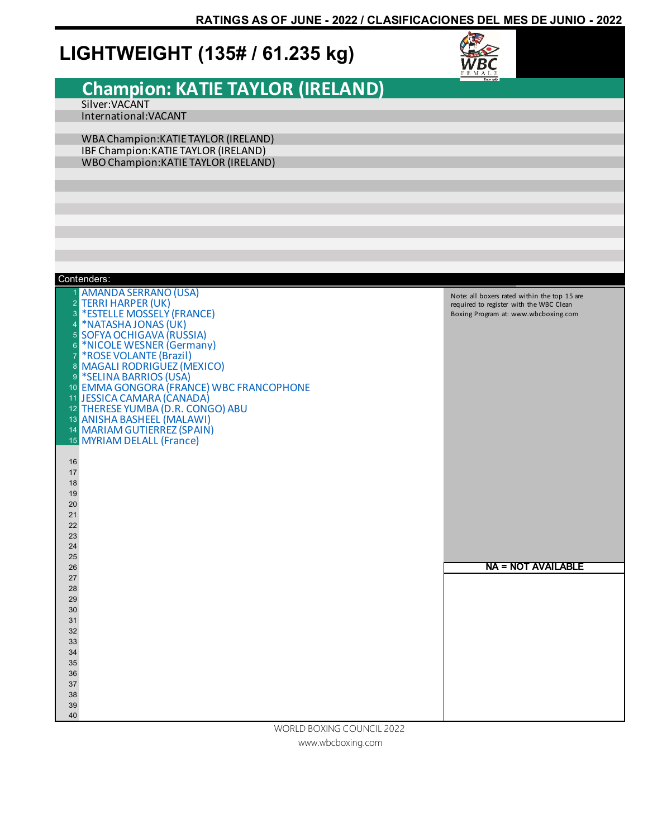### **LIGHTWEIGHT (135# / 61.235 kg)**



# **Champion: KATIE TAYLOR (IRELAND)**

Silver:VACANT International:VACANT

WBA Champion:KATIE TAYLOR (IRELAND) IBF Champion:KATIE TAYLOR (IRELAND) WBO Champion:KATIE TAYLOR (IRELAND)

| Contenders:                                                                                                                                                                                                                                                                                                                                                                                         |                                                                                                                                 |
|-----------------------------------------------------------------------------------------------------------------------------------------------------------------------------------------------------------------------------------------------------------------------------------------------------------------------------------------------------------------------------------------------------|---------------------------------------------------------------------------------------------------------------------------------|
| 1 AMANDA SERRANO (USA)<br>2 TERRI HARPER (UK)<br>3 *ESTELLE MOSSELY (FRANCE)<br>4 *NATASHA JONAS (UK)<br>5 SOFYA OCHIGAVA (RUSSIA)<br>6 *NICOLE WESNER (Germany)<br>7 *ROSE VOLANTE (Brazil)<br>8 MAGALI RODRIGUEZ (MEXICO)<br>9 *SELINA BARRIOS (USA)<br>10 EMMA GONGORA (FRANCE) WBC FRANCOPHONE<br>11 JESSICA CAMARA (CANADA)<br>12 THERESE YUMBA (D.R. CONGO) ABU<br>13 ANISHA BASHEEL (MALAWI) | Note: all boxers rated within the top 15 are<br>required to register with the WBC Clean<br>Boxing Program at: www.wbcboxing.com |
| 14 MARIAM GUTIERREZ (SPAIN)                                                                                                                                                                                                                                                                                                                                                                         |                                                                                                                                 |
| 15 MYRIAM DELALL (France)                                                                                                                                                                                                                                                                                                                                                                           |                                                                                                                                 |
| 16<br>17<br>18<br>19<br>20<br>21<br>22<br>23<br>24<br>25                                                                                                                                                                                                                                                                                                                                            |                                                                                                                                 |
| 26                                                                                                                                                                                                                                                                                                                                                                                                  | <b>NA = NOT AVAILABLE</b>                                                                                                       |
| 27                                                                                                                                                                                                                                                                                                                                                                                                  |                                                                                                                                 |
| 28                                                                                                                                                                                                                                                                                                                                                                                                  |                                                                                                                                 |
| 29                                                                                                                                                                                                                                                                                                                                                                                                  |                                                                                                                                 |
| 30                                                                                                                                                                                                                                                                                                                                                                                                  |                                                                                                                                 |
| 31                                                                                                                                                                                                                                                                                                                                                                                                  |                                                                                                                                 |
| 32                                                                                                                                                                                                                                                                                                                                                                                                  |                                                                                                                                 |
| 33                                                                                                                                                                                                                                                                                                                                                                                                  |                                                                                                                                 |
| 34                                                                                                                                                                                                                                                                                                                                                                                                  |                                                                                                                                 |
| 35<br>36                                                                                                                                                                                                                                                                                                                                                                                            |                                                                                                                                 |
| 37                                                                                                                                                                                                                                                                                                                                                                                                  |                                                                                                                                 |
| 38                                                                                                                                                                                                                                                                                                                                                                                                  |                                                                                                                                 |
| 39                                                                                                                                                                                                                                                                                                                                                                                                  |                                                                                                                                 |
| 40                                                                                                                                                                                                                                                                                                                                                                                                  |                                                                                                                                 |
| MORLD ROVING COLINGIL 2022                                                                                                                                                                                                                                                                                                                                                                          |                                                                                                                                 |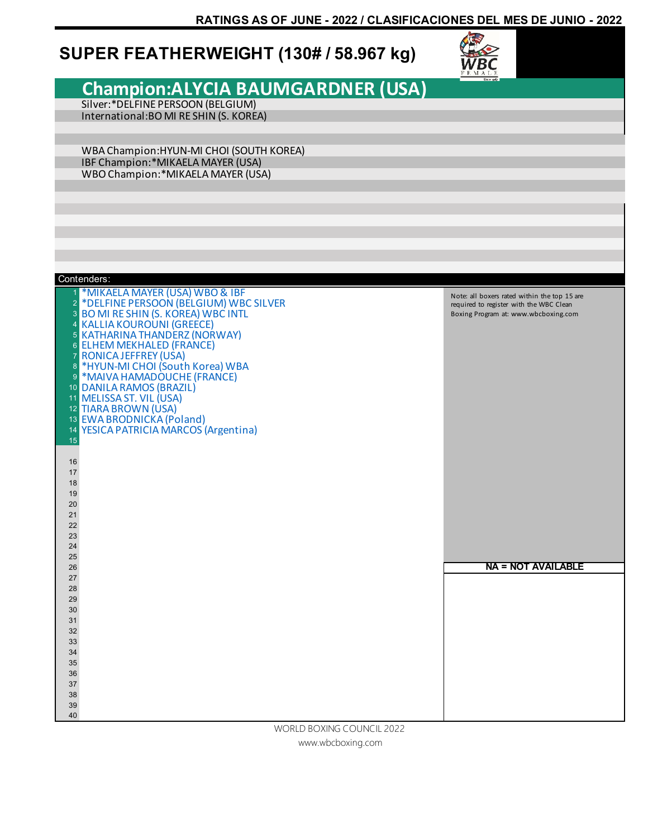### **SUPER FEATHERWEIGHT (130# / 58.967 kg)**



#### **Champion:ALYCIA BAUMGARDNER (USA)**  Silver:\*DELFINE PERSOON (BELGIUM) International:BO MI RE SHIN (S. KOREA) WBA Champion:HYUN-MI CHOI (SOUTH KOREA) IBF Champion:\*MIKAELA MAYER (USA) WBO Champion:\*MIKAELA MAYER (USA) \*MIKAELA MAYER (USA) WBO & IBF \*DELFINE PERSOON (BELGIUM) WBC SILVER BO MI RE SHIN (S. KOREA) WBC INTL 4 KALLIA KOUROUNI (GREECE)<br>5 KATHARINA THANDERZ (NOR KATHARINA THANDERZ (NORWAY) ELHEM MEKHALED (FRANCE) RONICA JEFFREY (USA) \*HYUN-MI CHOI (South Korea) WBA \*MAIVA HAMADOUCHE (FRANCE) DANILA RAMOS (BRAZIL) MELISSA ST. VIL (USA) TIARA BROWN (USA) EWA BRODNICKA (Poland) YESICA PATRICIA MARCOS (Argentina) Contenders: **NA = NOT AVAILABLE** Note: all boxers rated within the top 15 are required to register with the WBC Clean Boxing Program at: www.wbcboxing.com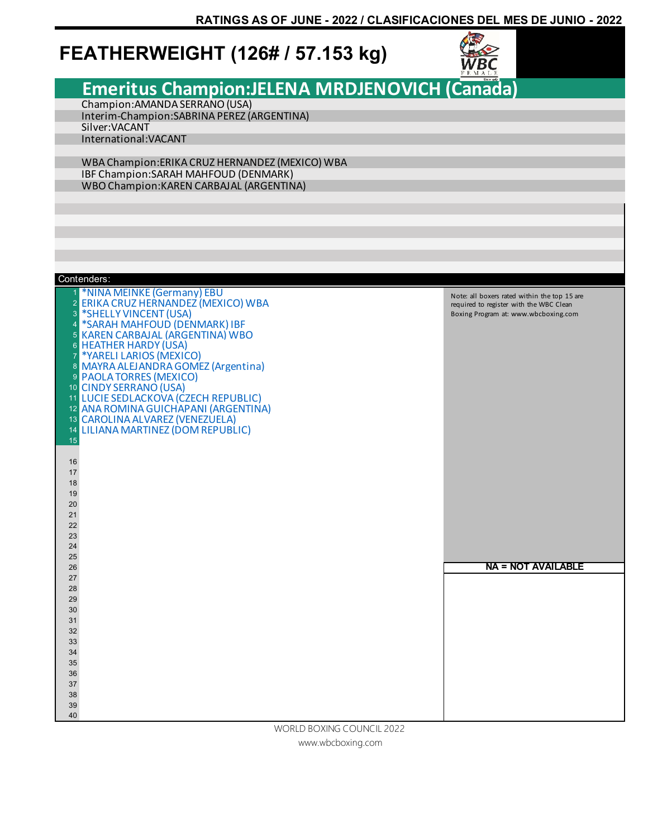### **FEATHERWEIGHT (126# / 57.153 kg)**



**Emeritus Champion:JELENA MRDJENOVICH (Canada)**

Champion:AMANDA SERRANO (USA) Interim-Champion:SABRINA PEREZ (ARGENTINA) Silver:VACANT International:VACANT

WBA Champion:ERIKA CRUZ HERNANDEZ (MEXICO) WBA IBF Champion:SARAH MAHFOUD (DENMARK) WBO Champion:KAREN CARBAJAL (ARGENTINA)

|                | Contenders:                                                    |                                              |
|----------------|----------------------------------------------------------------|----------------------------------------------|
|                | *NINA MEINKE (Germany) EBU                                     | Note: all boxers rated within the top 15 are |
| $\overline{2}$ | <b>ERIKA CRUZ HERNANDEZ (MEXICO) WBA</b>                       | required to register with the WBC Clean      |
| 3              | *SHELLY VINCENT (USA)                                          | Boxing Program at: www.wbcboxing.com         |
| 4              | *SARAH MAHFOUD (DENMARK) IBF                                   |                                              |
|                | <b>5 KAREN CARBAJAL (ARGENTINA) WBO</b>                        |                                              |
|                | 6 HEATHER HARDY (USA)                                          |                                              |
| $\overline{7}$ | *YARELI LARIOS (MEXICO)                                        |                                              |
|                | 8 MAYRA ALEJANDRA GOMEZ (Argentina)                            |                                              |
|                | 9 PAOLA TORRES (MEXICO)                                        |                                              |
|                | 10 CINDY SERRANO (USA)<br>11 LUCIE SEDLACKOVA (CZECH REPUBLIC) |                                              |
|                | 12 ANA ROMINA GUICHAPANI (ARGENTINA)                           |                                              |
|                | 13 CAROLINA ALVAREZ (VENEZUELA)                                |                                              |
|                | 14 LILIANA MARTINEZ (DOM REPUBLIC)                             |                                              |
| 15             |                                                                |                                              |
|                |                                                                |                                              |
| 16             |                                                                |                                              |
| 17             |                                                                |                                              |
| 18             |                                                                |                                              |
| 19             |                                                                |                                              |
| 20             |                                                                |                                              |
| 21             |                                                                |                                              |
| 22             |                                                                |                                              |
| 23             |                                                                |                                              |
| 24<br>25       |                                                                |                                              |
| 26             |                                                                | <b>NA = NOT AVAILABLE</b>                    |
| 27             |                                                                |                                              |
| 28             |                                                                |                                              |
| 29             |                                                                |                                              |
| 30             |                                                                |                                              |
| 31             |                                                                |                                              |
| 32             |                                                                |                                              |
| 33             |                                                                |                                              |
| 34             |                                                                |                                              |
| 35             |                                                                |                                              |
| 36             |                                                                |                                              |
| 37             |                                                                |                                              |
| 38             |                                                                |                                              |
| 39<br>40       |                                                                |                                              |
|                | MODI D ROVING COLINGIL 2022                                    |                                              |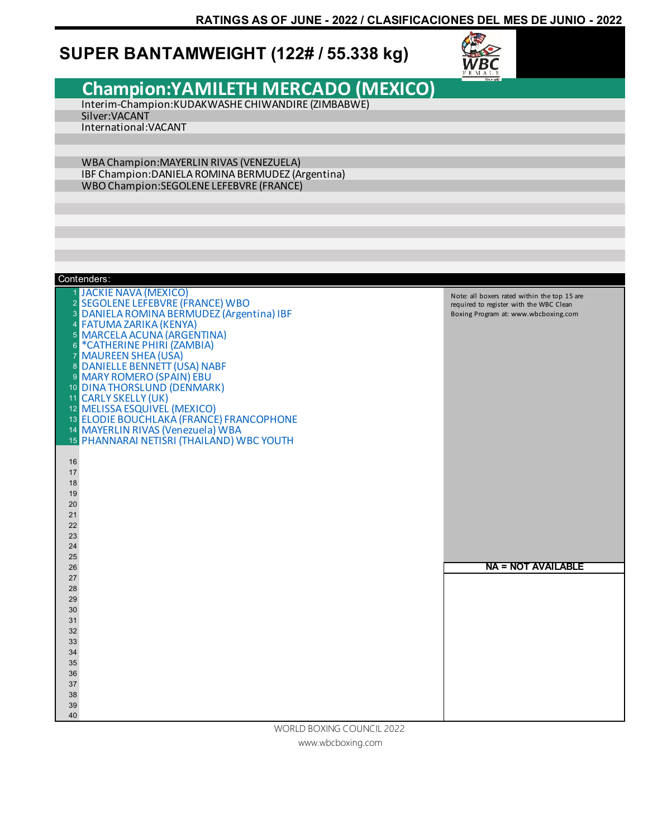### **SUPER BANTAMWEIGHT (122# / 55.338 kg)**



|                                    |                                                                               | FEMALE                                                                                  |
|------------------------------------|-------------------------------------------------------------------------------|-----------------------------------------------------------------------------------------|
|                                    | <b>Champion: YAMILETH MERCADO (MEXICO)</b>                                    |                                                                                         |
|                                    | Interim-Champion:KUDAKWASHE CHIWANDIRE (ZIMBABWE)                             |                                                                                         |
|                                    | Silver: VACANT                                                                |                                                                                         |
|                                    | International: VACANT                                                         |                                                                                         |
|                                    |                                                                               |                                                                                         |
|                                    |                                                                               |                                                                                         |
|                                    | WBA Champion: MAYERLIN RIVAS (VENEZUELA)                                      |                                                                                         |
|                                    | IBF Champion: DANIELA ROMINA BERMUDEZ (Argentina)                             |                                                                                         |
|                                    | <b>WBO Champion:SEGOLENE LEFEBVRE (FRANCE)</b>                                |                                                                                         |
|                                    |                                                                               |                                                                                         |
|                                    |                                                                               |                                                                                         |
|                                    |                                                                               |                                                                                         |
|                                    |                                                                               |                                                                                         |
|                                    |                                                                               |                                                                                         |
|                                    |                                                                               |                                                                                         |
|                                    | Contenders:                                                                   |                                                                                         |
|                                    | <b>JACKIE NAVA (MEXICO)</b>                                                   |                                                                                         |
| $\overline{2}$                     | <b>SEGOLENE LEFEBVRE (FRANCE) WBO</b>                                         | Note: all boxers rated within the top 15 are<br>required to register with the WBC Clean |
| $\mathbf{3}$                       | DANIELA ROMINA BERMUDEZ (Argentina) IBF                                       | Boxing Program at: www.wbcboxing.com                                                    |
| $\overline{4}$                     | <b>FATUMA ZARIKA (KENYA)</b>                                                  |                                                                                         |
|                                    | 5 MARCELA ACUNA (ARGENTINA)                                                   |                                                                                         |
| $\boldsymbol{6}$<br>$\overline{7}$ | *CATHERINE PHIRI (ZAMBIA)                                                     |                                                                                         |
|                                    | <b>MAUREEN SHEA (USA)</b><br>8 DANIELLE BENNETT (USA) NABF                    |                                                                                         |
|                                    | 9 MARY ROMERO (SPAIN) EBU                                                     |                                                                                         |
|                                    | 10 DINA THORSLUND (DENMARK)                                                   |                                                                                         |
|                                    | 11 CARLY SKELLY (UK)                                                          |                                                                                         |
|                                    | 12 MELISSA ESQUIVEL (MEXICO)                                                  |                                                                                         |
|                                    | 13 ELODIE BOUCHLAKA (FRANCE) FRANCOPHONE<br>14 MAYERLIN RIVAS (Venezuela) WBA |                                                                                         |
|                                    | 15 PHANNARAI NETISRI (THAILAND) WBC YOUTH                                     |                                                                                         |
|                                    |                                                                               |                                                                                         |
| 16                                 |                                                                               |                                                                                         |
| 17                                 |                                                                               |                                                                                         |
| 18<br>19                           |                                                                               |                                                                                         |
| 20                                 |                                                                               |                                                                                         |
| 21                                 |                                                                               |                                                                                         |
| 22                                 |                                                                               |                                                                                         |
| 23                                 |                                                                               |                                                                                         |
| 24<br>25                           |                                                                               |                                                                                         |
| 26                                 |                                                                               | <b>NA = NOT AVAILABLE</b>                                                               |
| 27                                 |                                                                               |                                                                                         |
| 28                                 |                                                                               |                                                                                         |
| 29                                 |                                                                               |                                                                                         |
| 30<br>31                           |                                                                               |                                                                                         |
| 32                                 |                                                                               |                                                                                         |
| 33                                 |                                                                               |                                                                                         |
| 34                                 |                                                                               |                                                                                         |
| 35                                 |                                                                               |                                                                                         |
| 36<br>37                           |                                                                               |                                                                                         |
| 38                                 |                                                                               |                                                                                         |
| 39                                 |                                                                               |                                                                                         |
| 40                                 |                                                                               |                                                                                         |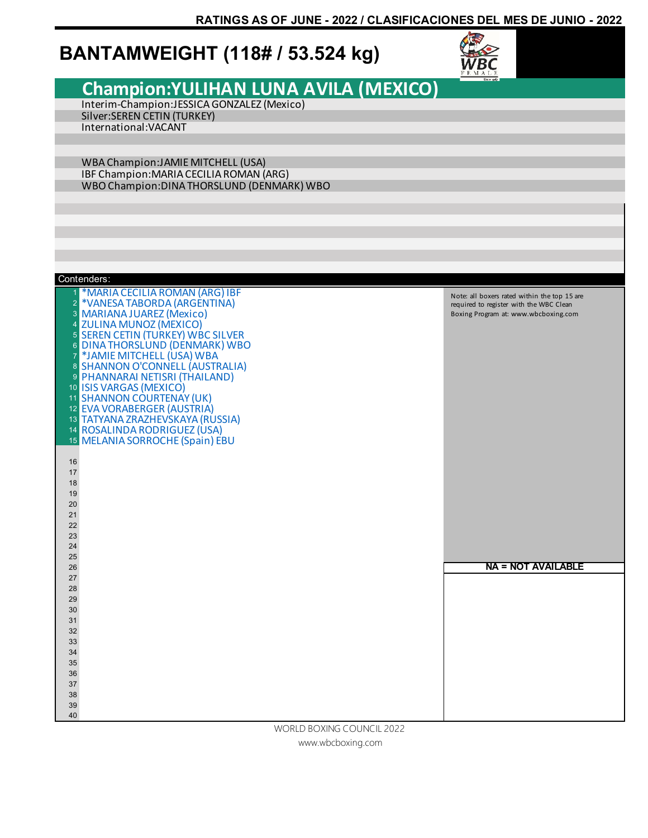### **BANTAMWEIGHT (118# / 53.524 kg)**



#### **Champion:YULIHAN LUNA AVILA (MEXICO)** Interim-Champion:JESSICA GONZALEZ (Mexico) Silver:SEREN CETIN (TURKEY) International:VACANT WBA Champion:JAMIE MITCHELL (USA) IBF Champion:MARIA CECILIA ROMAN (ARG) WBO Champion:DINA THORSLUND (DENMARK) WBO \*MARIA CECILIA ROMAN (ARG) IBF 2 \*VANESA TABORDA (ARGENTINA)<br>3 MARIANA ILIAREZ (Mexico) MARIANA JUAREZ (Mexico) 4 <mark>ZULINA MUNOZ (MEXICO)</mark><br>5 SEREN CETIN (TURKEY) WB SEREN CETIN (TURKEY) WBC SILVER DINA THORSLUND (DENMARK) WBO \*JAMIE MITCHELL (USA) WBA 8 SHANNON O'CONNELL (AUSTRALIA) PHANNARAI NETISRI (THAILAND) ISIS VARGAS (MEXICO) SHANNON COURTENAY (UK) EVA VORABERGER (AUSTRIA) TATYANA ZRAZHEVSKAYA (RUSSIA) ROSALINDA RODRIGUEZ (USA) MELANIA SORROCHE (Spain) EBU Contenders: **NA = NOT AVAILABLE** Note: all boxers rated within the top 15 are required to register with the WBC Clean Boxing Program at: www.wbcboxing.com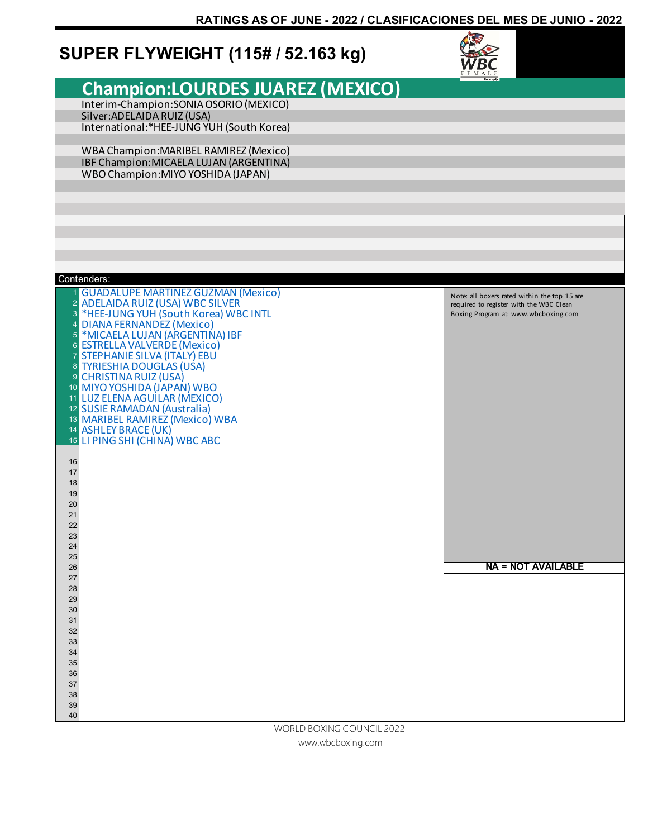### **SUPER FLYWEIGHT (115# / 52.163 kg)**



|                               |                                                                         | <b>FEMALE</b>                                |
|-------------------------------|-------------------------------------------------------------------------|----------------------------------------------|
|                               | <b>Champion:LOURDES JUAREZ (MEXICO)</b>                                 |                                              |
|                               |                                                                         |                                              |
|                               | Interim-Champion: SONIA OSORIO (MEXICO)<br>Silver: ADELAIDA RUIZ (USA)  |                                              |
|                               | International:*HEE-JUNG YUH (South Korea)                               |                                              |
|                               |                                                                         |                                              |
|                               | WBA Champion: MARIBEL RAMIREZ (Mexico)                                  |                                              |
|                               | IBF Champion: MICAELA LUJAN (ARGENTINA)                                 |                                              |
|                               | WBO Champion: MIYO YOSHIDA (JAPAN)                                      |                                              |
|                               |                                                                         |                                              |
|                               |                                                                         |                                              |
|                               |                                                                         |                                              |
|                               |                                                                         |                                              |
|                               |                                                                         |                                              |
|                               |                                                                         |                                              |
|                               |                                                                         |                                              |
|                               |                                                                         |                                              |
|                               | Contenders:                                                             |                                              |
|                               | <b>GUADALUPE MARTINEZ GUZMAN (Mexico)</b>                               | Note: all boxers rated within the top 15 are |
| $\overline{2}$                | <b>ADELAIDA RUIZ (USA) WBC SILVER</b>                                   | required to register with the WBC Clean      |
| $\mathsf 3$<br>$\overline{4}$ | *HEE-JUNG YUH (South Korea) WBC INTL<br><b>DIANA FERNANDEZ (Mexico)</b> | Boxing Program at: www.wbcboxing.com         |
| $\overline{5}$                | *MICAELA LUJAN (ARGENTINA) IBF                                          |                                              |
| $6\phantom{.}$                | <b>ESTRELLA VALVERDE (Mexico)</b>                                       |                                              |
| $\overline{7}$                | <b>STEPHANIE SILVA (ITALY) EBU</b>                                      |                                              |
| $\bf 8$                       | <b>TYRIESHIA DOUGLAS (USA)</b>                                          |                                              |
| 9                             | <b>CHRISTINA RUIZ (USA)</b>                                             |                                              |
|                               | 10 MIYO YOSHIDA (JAPAN) WBO<br>11 LUZ ELENA AGUILAR (MEXICO)            |                                              |
|                               | 12 SUSIE RAMADAN (Australia)                                            |                                              |
|                               | 13 MARIBEL RAMIREZ (Mexico) WBA                                         |                                              |
|                               | 14 ASHLEY BRACE (UK)                                                    |                                              |
|                               | 15 LI PING SHI (CHINA) WBC ABC                                          |                                              |
|                               |                                                                         |                                              |
| 16<br>17                      |                                                                         |                                              |
| 18                            |                                                                         |                                              |
| 19                            |                                                                         |                                              |
| 20                            |                                                                         |                                              |
| 21                            |                                                                         |                                              |
| 22<br>23                      |                                                                         |                                              |
| 24                            |                                                                         |                                              |
| 25                            |                                                                         |                                              |
| 26                            |                                                                         | <b>NA = NOT AVAILABLE</b>                    |
| 27                            |                                                                         |                                              |
| 28                            |                                                                         |                                              |
| 29<br>30                      |                                                                         |                                              |
| 31                            |                                                                         |                                              |
| $32\,$                        |                                                                         |                                              |
| $33\,$                        |                                                                         |                                              |
| 34                            |                                                                         |                                              |
| $35\,$                        |                                                                         |                                              |
| $36\,$                        |                                                                         |                                              |
| 37<br>38                      |                                                                         |                                              |
| 39                            |                                                                         |                                              |
| 40                            |                                                                         |                                              |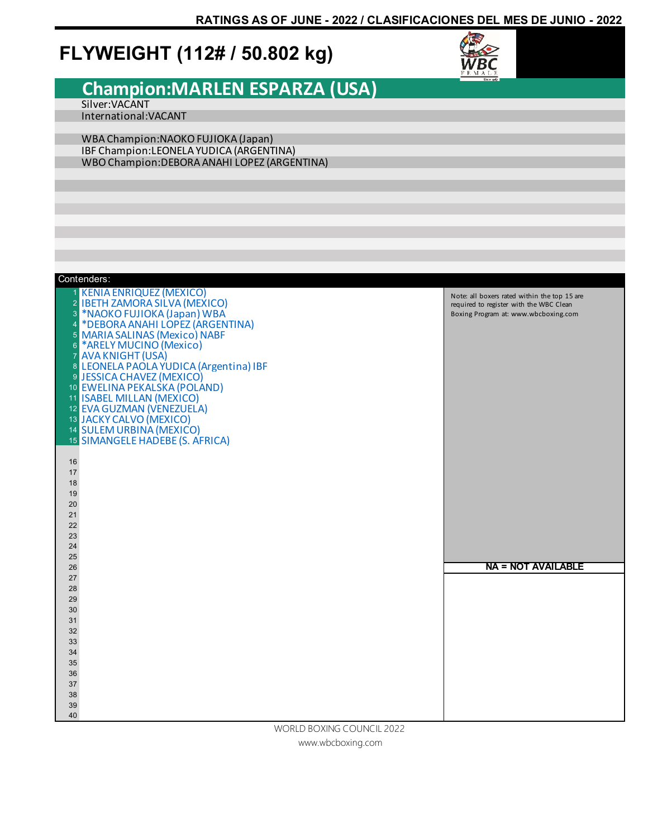### **FLYWEIGHT (112# / 50.802 kg)**



#### **Champion:MARLEN ESPARZA (USA)** Silver:VACANT

International:VACANT

WBA Champion:NAOKO FUJIOKA (Japan) IBF Champion:LEONELA YUDICA (ARGENTINA) WBO Champion:DEBORA ANAHI LOPEZ (ARGENTINA)

| 1 KENIA ENRIQUEZ (MEXICO)<br>Note: all boxers rated within the top 15 are<br>2 IBETH ZAMORA SILVA (MEXICO)<br>required to register with the WBC Clean<br>3 *NAOKO FUJIOKA (Japan) WBA<br>Boxing Program at: www.wbcboxing.com<br>4 *DEBORA ANAHI LOPEZ (ARGENTINA)<br>5 MARIA SALINAS (Mexico) NABF<br>6 *ARELY MUCINO (Mexico)<br>7 AVA KNIGHT (USA)<br>8 LEONELA PAOLA YUDICA (Argentina) IBF<br>9 JESSICA CHAVEZ (MEXICO)<br>10 EWELINA PEKALSKA (POLAND)<br>11 ISABEL MILLAN (MEXICO)<br>12 EVA GUZMAN (VENEZUELA)<br>13 JACKY CALVO (MEXICO)<br>14 SULEM URBINA (MEXICO)<br>15 SIMANGELE HADEBE (S. AFRICA)<br>16<br>17<br>18<br>19<br>20<br>21<br>22<br>23<br>24<br>25<br><b>NA = NOT AVAILABLE</b><br>26<br>27<br>28<br>29<br>30<br>31<br>32<br>33<br>34<br>35<br>36<br>37<br>38<br>39<br>40<br>WORLD BOXING COUNCIL 2022 | Contenders: |  |
|----------------------------------------------------------------------------------------------------------------------------------------------------------------------------------------------------------------------------------------------------------------------------------------------------------------------------------------------------------------------------------------------------------------------------------------------------------------------------------------------------------------------------------------------------------------------------------------------------------------------------------------------------------------------------------------------------------------------------------------------------------------------------------------------------------------------------------|-------------|--|
|                                                                                                                                                                                                                                                                                                                                                                                                                                                                                                                                                                                                                                                                                                                                                                                                                                  |             |  |
|                                                                                                                                                                                                                                                                                                                                                                                                                                                                                                                                                                                                                                                                                                                                                                                                                                  |             |  |
|                                                                                                                                                                                                                                                                                                                                                                                                                                                                                                                                                                                                                                                                                                                                                                                                                                  |             |  |
|                                                                                                                                                                                                                                                                                                                                                                                                                                                                                                                                                                                                                                                                                                                                                                                                                                  |             |  |
|                                                                                                                                                                                                                                                                                                                                                                                                                                                                                                                                                                                                                                                                                                                                                                                                                                  |             |  |
|                                                                                                                                                                                                                                                                                                                                                                                                                                                                                                                                                                                                                                                                                                                                                                                                                                  |             |  |
|                                                                                                                                                                                                                                                                                                                                                                                                                                                                                                                                                                                                                                                                                                                                                                                                                                  |             |  |
|                                                                                                                                                                                                                                                                                                                                                                                                                                                                                                                                                                                                                                                                                                                                                                                                                                  |             |  |
|                                                                                                                                                                                                                                                                                                                                                                                                                                                                                                                                                                                                                                                                                                                                                                                                                                  |             |  |
|                                                                                                                                                                                                                                                                                                                                                                                                                                                                                                                                                                                                                                                                                                                                                                                                                                  |             |  |
|                                                                                                                                                                                                                                                                                                                                                                                                                                                                                                                                                                                                                                                                                                                                                                                                                                  |             |  |
|                                                                                                                                                                                                                                                                                                                                                                                                                                                                                                                                                                                                                                                                                                                                                                                                                                  |             |  |
|                                                                                                                                                                                                                                                                                                                                                                                                                                                                                                                                                                                                                                                                                                                                                                                                                                  |             |  |
|                                                                                                                                                                                                                                                                                                                                                                                                                                                                                                                                                                                                                                                                                                                                                                                                                                  |             |  |
|                                                                                                                                                                                                                                                                                                                                                                                                                                                                                                                                                                                                                                                                                                                                                                                                                                  |             |  |
|                                                                                                                                                                                                                                                                                                                                                                                                                                                                                                                                                                                                                                                                                                                                                                                                                                  |             |  |
|                                                                                                                                                                                                                                                                                                                                                                                                                                                                                                                                                                                                                                                                                                                                                                                                                                  |             |  |
|                                                                                                                                                                                                                                                                                                                                                                                                                                                                                                                                                                                                                                                                                                                                                                                                                                  |             |  |
|                                                                                                                                                                                                                                                                                                                                                                                                                                                                                                                                                                                                                                                                                                                                                                                                                                  |             |  |
|                                                                                                                                                                                                                                                                                                                                                                                                                                                                                                                                                                                                                                                                                                                                                                                                                                  |             |  |
|                                                                                                                                                                                                                                                                                                                                                                                                                                                                                                                                                                                                                                                                                                                                                                                                                                  |             |  |
|                                                                                                                                                                                                                                                                                                                                                                                                                                                                                                                                                                                                                                                                                                                                                                                                                                  |             |  |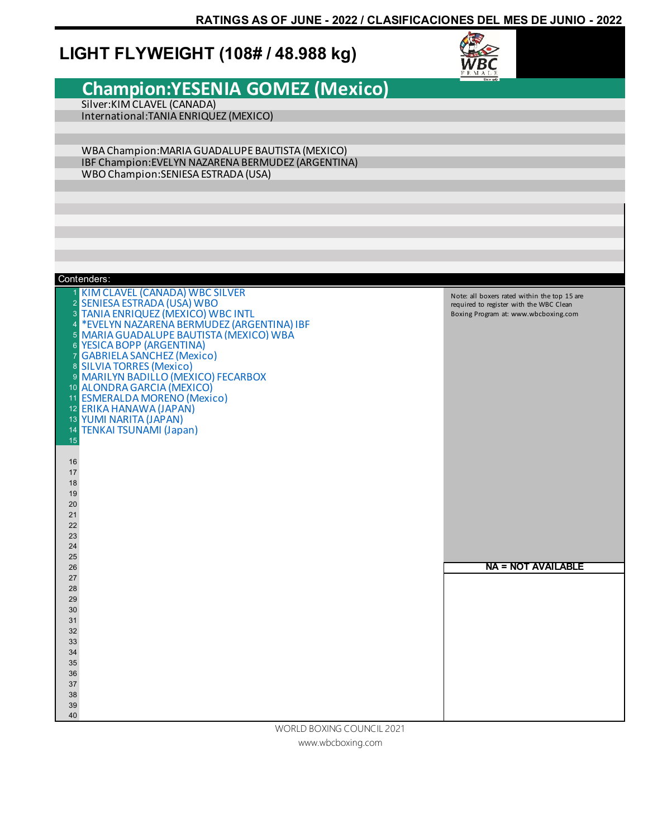### **LIGHT FLYWEIGHT (108# / 48.988 kg)**



#### **Champion:YESENIA GOMEZ (Mexico)**  Silver:KIM CLAVEL (CANADA) International:TANIA ENRIQUEZ (MEXICO) WBA Champion:MARIA GUADALUPE BAUTISTA (MEXICO) IBF Champion:EVELYN NAZARENA BERMUDEZ (ARGENTINA) WBO Champion:SENIESA ESTRADA (USA) KIM CLAVEL (CANADA) WBC SILVER SENIESA ESTRADA (USA) WBO TANIA ENRIQUEZ (MEXICO) WBC INTL 4 \*EVELYN NAZARENA BERMUDEZ (ARGENTINA) IBF<br>5 MARIA GUADALUPE BAUTISTA (MEXICO) WBA MARIA GUADALUPE BAUTISTA (MEXICO) WBA YESICA BOPP (ARGENTINA) GABRIELA SANCHEZ (Mexico) SILVIA TORRES (Mexico) MARILYN BADILLO (MEXICO) FECARBOX ALONDRA GARCIA (MEXICO) ESMERALDA MORENO (Mexico) ERIKA HANAWA (JAPAN) YUMI NARITA (JAPAN) TENKAI TSUNAMI (Japan) **NA = NOT AVAILABLE** Contenders: Note: all boxers rated within the top 15 are required to register with the WBC Clean Boxing Program at: www.wbcboxing.com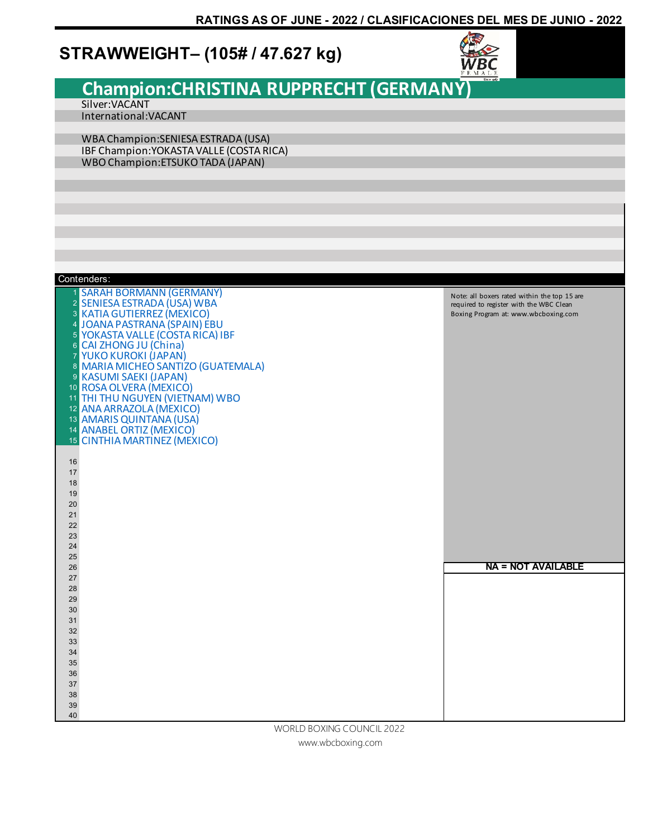### **STRAWWEIGHT– (105# / 47.627 kg)**



|                |                                                                     | <b>FEMALE</b><br>Since 1067                                                     |
|----------------|---------------------------------------------------------------------|---------------------------------------------------------------------------------|
|                | Champion:CHRISTINA RUPPRECHT (GERMANY)                              |                                                                                 |
|                | Silver: VACANT                                                      |                                                                                 |
|                | International: VACANT                                               |                                                                                 |
|                |                                                                     |                                                                                 |
|                | WBA Champion: SENIESA ESTRADA (USA)                                 |                                                                                 |
|                | IBF Champion: YOKASTA VALLE (COSTA RICA)                            |                                                                                 |
|                | WBO Champion: ETSUKO TADA (JAPAN)                                   |                                                                                 |
|                |                                                                     |                                                                                 |
|                |                                                                     |                                                                                 |
|                |                                                                     |                                                                                 |
|                |                                                                     |                                                                                 |
|                |                                                                     |                                                                                 |
|                |                                                                     |                                                                                 |
|                |                                                                     |                                                                                 |
|                |                                                                     |                                                                                 |
|                | Contenders:                                                         |                                                                                 |
|                | <b>SARAH BORMANN (GERMANY)</b>                                      | Note: all boxers rated within the top 15 are                                    |
|                | 2 SENIESA ESTRADA (USA) WBA<br><b>3 KATIA GUTIERREZ (MEXICO)</b>    | required to register with the WBC Clean<br>Boxing Program at: www.wbcboxing.com |
| 4              | JOANA PASTRANA (SPAIN) EBU                                          |                                                                                 |
| 5 <sup>5</sup> | <b>YOKASTA VALLE (COSTA RICA) IBF</b>                               |                                                                                 |
| $6^{\circ}$    | CAI ZHONG JU (China)                                                |                                                                                 |
| $\overline{7}$ | YUKO KUROKI (JAPAN)                                                 |                                                                                 |
|                | 8 MARIA MICHEO SANTIZO (GUATEMALA)<br><b>9 KASUMI SAEKI (JAPAN)</b> |                                                                                 |
|                | 10 ROSA OLVERA (MEXICO)                                             |                                                                                 |
|                | 11 THI THU NGUYEN (VIETNAM) WBO                                     |                                                                                 |
|                | 12 ANA ARRAZOLA (MEXICO)                                            |                                                                                 |
|                | 13 AMARIS QUINTANA (USA)                                            |                                                                                 |
|                | 14 ANABEL ORTIZ (MEXICO)<br>15 CINTHIA MARTINEZ (MEXICO)            |                                                                                 |
|                |                                                                     |                                                                                 |
| 16             |                                                                     |                                                                                 |
| 17             |                                                                     |                                                                                 |
| 18<br>19       |                                                                     |                                                                                 |
| 20             |                                                                     |                                                                                 |
| 21             |                                                                     |                                                                                 |
| 22             |                                                                     |                                                                                 |
| 23             |                                                                     |                                                                                 |
| 24<br>25       |                                                                     |                                                                                 |
| $26\,$         |                                                                     | <b>NA = NOT AVAILABLE</b>                                                       |
| $27\,$         |                                                                     |                                                                                 |
| 28             |                                                                     |                                                                                 |
| 29<br>$30\,$   |                                                                     |                                                                                 |
| 31             |                                                                     |                                                                                 |
| $32\,$         |                                                                     |                                                                                 |
| $33\,$         |                                                                     |                                                                                 |
| 34<br>$35\,$   |                                                                     |                                                                                 |
| $36\,$         |                                                                     |                                                                                 |
| 37             |                                                                     |                                                                                 |
| $38\,$         |                                                                     |                                                                                 |
| $39\,$         |                                                                     |                                                                                 |
| 40             |                                                                     |                                                                                 |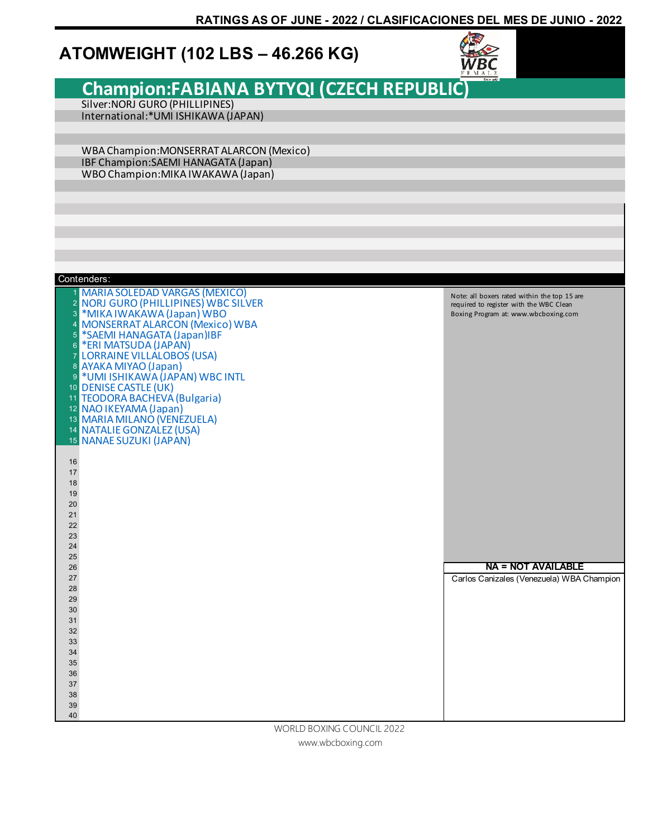### **ATOMWEIGHT (102 LBS – 46.266 KG)**



### **Champion:FABIANA BYTYQI (CZECH REPUBLIC)**

Silver:NORJ GURO (PHILLIPINES) International:\*UMI ISHIKAWA (JAPAN)

WBA Champion:MONSERRAT ALARCON (Mexico) IBF Champion:SAEMI HANAGATA (Japan) WBO Champion:MIKA IWAKAWA (Japan)

| Contenders:                                                                                                                                                                                                                                                                                                                                                                                                                            |                                                                                                                                 |
|----------------------------------------------------------------------------------------------------------------------------------------------------------------------------------------------------------------------------------------------------------------------------------------------------------------------------------------------------------------------------------------------------------------------------------------|---------------------------------------------------------------------------------------------------------------------------------|
| MARIA SOLEDAD VARGAS (MEXICO)<br>2 NORJ GURO (PHILLIPINES) WBC SILVER<br>3<br>*MIKA IWAKAWA (Japan) WBO<br>MONSERRAT ALARCON (Mexico) WBA<br>$\overline{4}$<br>*SAEMI HANAGATA (Japan)IBF<br>$\overline{5}$<br>*ERI MATSUDA (JAPAN)<br>$6\phantom{1}6$<br><b>LORRAINE VILLALOBOS (USA)</b><br>$\overline{7}$<br>8 AYAKA MIYAO (Japan)<br>*UMI ISHIKAWA (JAPAN) WBC INTL<br>9<br>10 DENISE CASTLE (UK)<br>11 TEODORA BACHEVA (Bulgaria) | Note: all boxers rated within the top 15 are<br>required to register with the WBC Clean<br>Boxing Program at: www.wbcboxing.com |
| 12 NAO IKEYAMA (Japan)                                                                                                                                                                                                                                                                                                                                                                                                                 |                                                                                                                                 |
| 13 MARIA MILANO (VENEZUELA)                                                                                                                                                                                                                                                                                                                                                                                                            |                                                                                                                                 |
| 14 NATALIE GONZALEZ (USA)                                                                                                                                                                                                                                                                                                                                                                                                              |                                                                                                                                 |
| 15 NANAE SUZUKI (JAPAN)                                                                                                                                                                                                                                                                                                                                                                                                                |                                                                                                                                 |
| 16                                                                                                                                                                                                                                                                                                                                                                                                                                     |                                                                                                                                 |
| 17                                                                                                                                                                                                                                                                                                                                                                                                                                     |                                                                                                                                 |
| 18                                                                                                                                                                                                                                                                                                                                                                                                                                     |                                                                                                                                 |
| 19                                                                                                                                                                                                                                                                                                                                                                                                                                     |                                                                                                                                 |
| 20                                                                                                                                                                                                                                                                                                                                                                                                                                     |                                                                                                                                 |
| 21                                                                                                                                                                                                                                                                                                                                                                                                                                     |                                                                                                                                 |
| 22                                                                                                                                                                                                                                                                                                                                                                                                                                     |                                                                                                                                 |
| 23                                                                                                                                                                                                                                                                                                                                                                                                                                     |                                                                                                                                 |
| 24                                                                                                                                                                                                                                                                                                                                                                                                                                     |                                                                                                                                 |
| 25<br>26                                                                                                                                                                                                                                                                                                                                                                                                                               | <b>NA = NOT AVAILABLE</b>                                                                                                       |
| 27                                                                                                                                                                                                                                                                                                                                                                                                                                     | Carlos Canizales (Venezuela) WBA Champion                                                                                       |
| 28                                                                                                                                                                                                                                                                                                                                                                                                                                     |                                                                                                                                 |
| 29                                                                                                                                                                                                                                                                                                                                                                                                                                     |                                                                                                                                 |
| 30                                                                                                                                                                                                                                                                                                                                                                                                                                     |                                                                                                                                 |
| 31                                                                                                                                                                                                                                                                                                                                                                                                                                     |                                                                                                                                 |
| 32                                                                                                                                                                                                                                                                                                                                                                                                                                     |                                                                                                                                 |
| 33                                                                                                                                                                                                                                                                                                                                                                                                                                     |                                                                                                                                 |
| 34                                                                                                                                                                                                                                                                                                                                                                                                                                     |                                                                                                                                 |
| 35                                                                                                                                                                                                                                                                                                                                                                                                                                     |                                                                                                                                 |
| 36                                                                                                                                                                                                                                                                                                                                                                                                                                     |                                                                                                                                 |
| 37<br>38                                                                                                                                                                                                                                                                                                                                                                                                                               |                                                                                                                                 |
| 39                                                                                                                                                                                                                                                                                                                                                                                                                                     |                                                                                                                                 |
| 40                                                                                                                                                                                                                                                                                                                                                                                                                                     |                                                                                                                                 |
| WORLD BOXING COUNCIL 2022                                                                                                                                                                                                                                                                                                                                                                                                              |                                                                                                                                 |

www.wbcboxing.com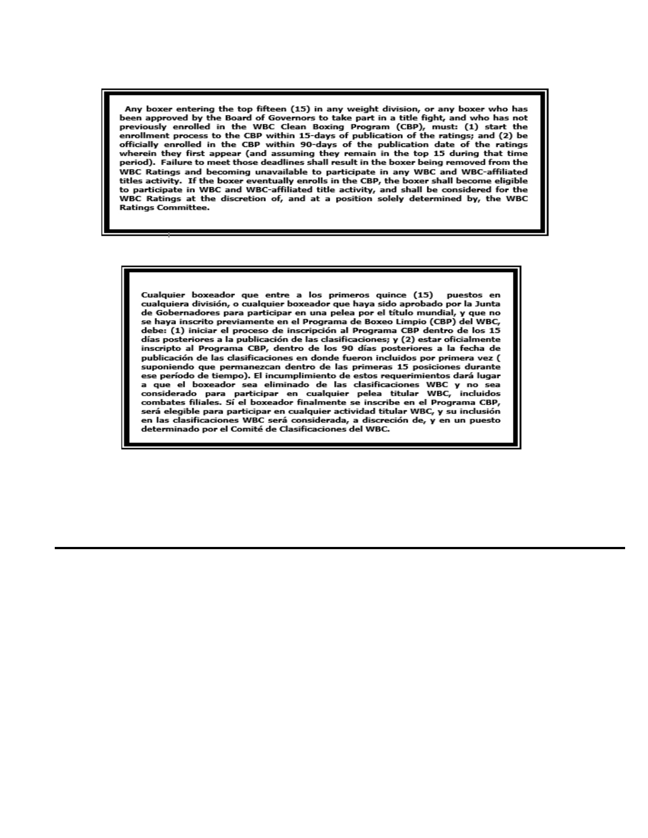Any boxer entering the top fifteen (15) in any weight division, or any boxer who has been approved by the Board of Governors to take part in a title fight, and who has not previously enrolled in the WBC Clean Boxing Program (CBP), must: (1) start the enrollment process to the CBP within 15-days of publication of the ratings; and (2) be officially enrolled in the CBP within 90-days of the publication date of the ratings wherein they first appear (and assuming they remain in the top 15 during that time period). Failure to meet those deadlines shall result in the boxer being removed from the WBC Ratings and becoming unavailable to participate in any WBC and WBC-affiliated titles activity. If the boxer eventually enrolls in the CBP, the boxer shall become eligible to participate in WBC and WBC-affiliated title activity, and shall be considered for the WBC Ratings at the discretion of, and at a position solely determined by, the WBC **Ratings Committee.** 

Cualquier boxeador que entre a los primeros quince (15) puestos en cualquiera división, o cualquier boxeador que haya sido aprobado por la Junta de Gobernadores para participar en una pelea por el título mundial, y que no se haya inscrito previamente en el Programa de Boxeo Limpio (CBP) del WBC, debe: (1) iniciar el proceso de inscripción al Programa CBP dentro de los 15 días posteriores a la publicación de las clasificaciones; y (2) estar oficialmente inscripto al Programa CBP, dentro de los 90 días posteriores a la fecha de publicación de las clasificaciones en donde fueron incluidos por primera vez ( suponiendo que permanezcan dentro de las primeras 15 posiciones durante ese período de tiempo). El incumplimiento de estos requerimientos dará lugar a que el boxeador sea eliminado de las clasificaciones WBC y no sea considerado para participar en cualquier pelea titular WBC, incluidos combates filiales. Sí el boxeador finalmente se inscribe en el Programa CBP, será elegible para participar en cualquier actividad titular WBC, y su inclusión en las clasificaciones WBC será considerada, a discreción de, y en un puesto determinado por el Comité de Clasificaciones del WBC.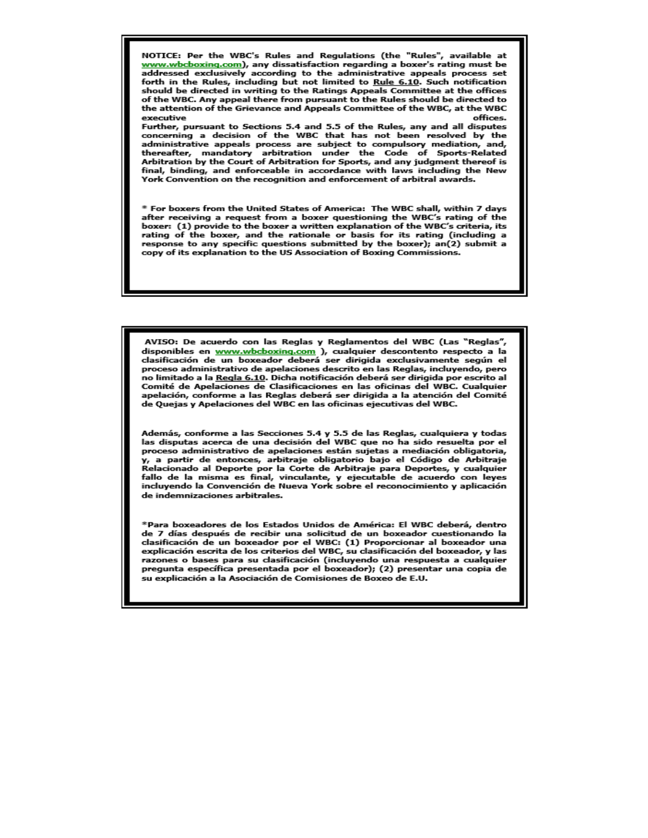NOTICE: Per the WBC's Rules and Regulations (the "Rules", available at www.wbcboxing.com), any dissatisfaction regarding a boxer's rating must be addressed exclusively according to the administrative appeals process set forth in the Rules, including but not limited to Rule 6.10. Such notification should be directed in writing to the Ratings Appeals Committee at the offices of the WBC. Any appeal there from pursuant to the Rules should be directed to the attention of the Grievance and Appeals Committee of the WBC, at the WBC executive offices.

Further, pursuant to Sections 5.4 and 5.5 of the Rules, any and all disputes concerning a decision of the WBC that has not been resolved by the administrative appeals process are subject to compulsory mediation, and, thereafter, mandatory arbitration under the Code of Sports-Related Arbitration by the Court of Arbitration for Sports, and any judgment thereof is final, binding, and enforceable in accordance with laws including the New York Convention on the recognition and enforcement of arbitral awards.

\* For boxers from the United States of America: The WBC shall, within 7 days after receiving a request from a boxer questioning the WBC's rating of the boxer: (1) provide to the boxer a written explanation of the WBC's criteria, its rating of the boxer, and the rationale or basis for its rating (including a response to any specific questions submitted by the boxer); an(2) submit a copy of its explanation to the US Association of Boxing Commissions.

AVISO: De acuerdo con las Reglas y Reglamentos del WBC (Las "Reglas", disponibles en www.wbcboxing.com ), cualquier descontento respecto a la clasificación de un boxeador deberá ser dirigida exclusivamente según el proceso administrativo de apelaciones descrito en las Reglas, incluyendo, pero no limitado a la Regla 6.10. Dicha notificación deberá ser dirigida por escrito al Comité de Apelaciones de Clasificaciones en las oficinas del WBC. Cualquier apelación, conforme a las Reglas deberá ser dirigida a la atención del Comité de Quejas y Apelaciones del WBC en las oficinas ejecutivas del WBC.

Además, conforme a las Secciones 5.4 y 5.5 de las Reglas, cualquiera y todas las disputas acerca de una decisión del WBC que no ha sido resuelta por el proceso administrativo de apelaciones están sujetas a mediación obligatoria, y, a partir de entonces, arbitraje obligatorio bajo el Código de Arbitraje Relacionado al Deporte por la Corte de Arbitraje para Deportes, y cualquier fallo de la misma es final, vinculante, y ejecutable de acuerdo con leyes incluyendo la Convención de Nueva York sobre el reconocimiento y aplicación de indemnizaciones arbitrales.

\*Para boxeadores de los Estados Unidos de América: El WBC deberá, dentro de 7 días después de recibir una solicitud de un boxeador cuestionando la clasificación de un boxeador por el WBC: (1) Proporcionar al boxeador una explicación escrita de los criterios del WBC, su clasificación del boxeador, y las razones o bases para su clasificación (incluyendo una respuesta a cualquier pregunta específica presentada por el boxeador); (2) presentar una copia de su explicación a la Asociación de Comisiones de Boxeo de E.U.